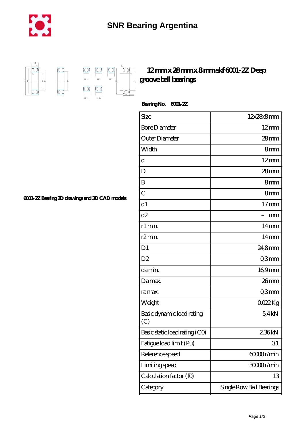



## **[12 mm x 28 mm x 8 mm skf 6001-2Z Deep](https://m.chilcotinlodge.com/ar-64958772-skf-6001-2z-deep-groove-ball-bearings.html) [groove ball bearings](https://m.chilcotinlodge.com/ar-64958772-skf-6001-2z-deep-groove-ball-bearings.html)**

 **Bearing No. 6001-2Z**

| Size                             | 12x28x8mm                |
|----------------------------------|--------------------------|
| <b>Bore Diameter</b>             | $12 \text{mm}$           |
| Outer Diameter                   | 28mm                     |
| Width                            | 8mm                      |
| d                                | $12 \text{mm}$           |
| D                                | $28 \text{mm}$           |
| B                                | 8mm                      |
| $\overline{C}$                   | 8 <sub>mm</sub>          |
| d1                               | $17 \text{mm}$           |
| d2                               | mm                       |
| r1 min.                          | $14 \text{mm}$           |
| r <sub>2</sub> min.              | 14 <sub>mm</sub>         |
| D <sub>1</sub>                   | 24,8mm                   |
| D <sub>2</sub>                   | Q3mm                     |
| da min.                          | $169$ mm                 |
| Damax.                           | 26mm                     |
| ra max.                          | Q3mm                     |
| Weight                           | QO22Kg                   |
| Basic dynamic load rating<br>(C) | 54kN                     |
| Basic static load rating (CO)    | 2,36kN                   |
| Fatigue load limit (Pu)          | Q <sub>1</sub>           |
| Reference speed                  | 60000r/min               |
| Limiting speed                   | 30000r/min               |
| Calculation factor (f0)          | 13                       |
| Category                         | Single Row Ball Bearings |

**[6001-2Z Bearing 2D drawings and 3D CAD models](https://m.chilcotinlodge.com/pic-64958772.html)**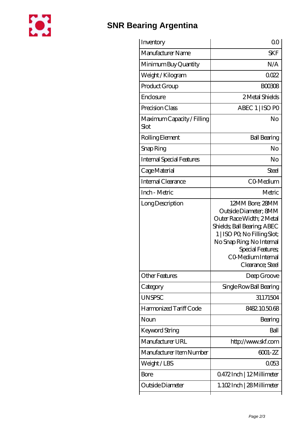

## **[SNR Bearing Argentina](https://m.chilcotinlodge.com)**

| Inventory                          | 0 <sup>0</sup>                                                                                                                                                                                                                  |
|------------------------------------|---------------------------------------------------------------------------------------------------------------------------------------------------------------------------------------------------------------------------------|
| Manufacturer Name                  | <b>SKF</b>                                                                                                                                                                                                                      |
| Minimum Buy Quantity               | N/A                                                                                                                                                                                                                             |
| Weight/Kilogram                    | 0022                                                                                                                                                                                                                            |
| Product Group                      | <b>BOO308</b>                                                                                                                                                                                                                   |
| Enclosure                          | 2 Metal Shields                                                                                                                                                                                                                 |
| Precision Class                    | ABEC 1   ISO PO                                                                                                                                                                                                                 |
| Maximum Capacity / Filling<br>Slot | No                                                                                                                                                                                                                              |
| Rolling Element                    | <b>Ball Bearing</b>                                                                                                                                                                                                             |
| Snap Ring                          | No                                                                                                                                                                                                                              |
| <b>Internal Special Features</b>   | No                                                                                                                                                                                                                              |
| Cage Material                      | Steel                                                                                                                                                                                                                           |
| Internal Clearance                 | CO-Medium                                                                                                                                                                                                                       |
| Inch - Metric                      | Metric                                                                                                                                                                                                                          |
| Long Description                   | 12MM Bore; 28MM<br>Outside Diameter; 8MM<br>Outer Race Width; 2Metal<br>Shields, Ball Bearing, ABEC<br>1   ISO PO, No Filling Slot;<br>No Snap Ring, No Internal<br>Special Features,<br>CO Medium Internal<br>Clearance; Steel |
| <b>Other Features</b>              | Deep Groove                                                                                                                                                                                                                     |
| Category                           | Single Row Ball Bearing                                                                                                                                                                                                         |
| <b>UNSPSC</b>                      | 31171504                                                                                                                                                                                                                        |
| Harmonized Tariff Code             | 8482.105068                                                                                                                                                                                                                     |
| Noun                               | Bearing                                                                                                                                                                                                                         |
| Keyword String                     | Ball                                                                                                                                                                                                                            |
| Manufacturer URL                   | http://www.skf.com                                                                                                                                                                                                              |
| Manufacturer Item Number           | 6001-2Z                                                                                                                                                                                                                         |
| Weight/LBS                         | 0053                                                                                                                                                                                                                            |
| Bore                               | Q472Inch   12Millimeter                                                                                                                                                                                                         |
| Outside Diameter                   | 1.102Inch   28 Millimeter                                                                                                                                                                                                       |
|                                    |                                                                                                                                                                                                                                 |